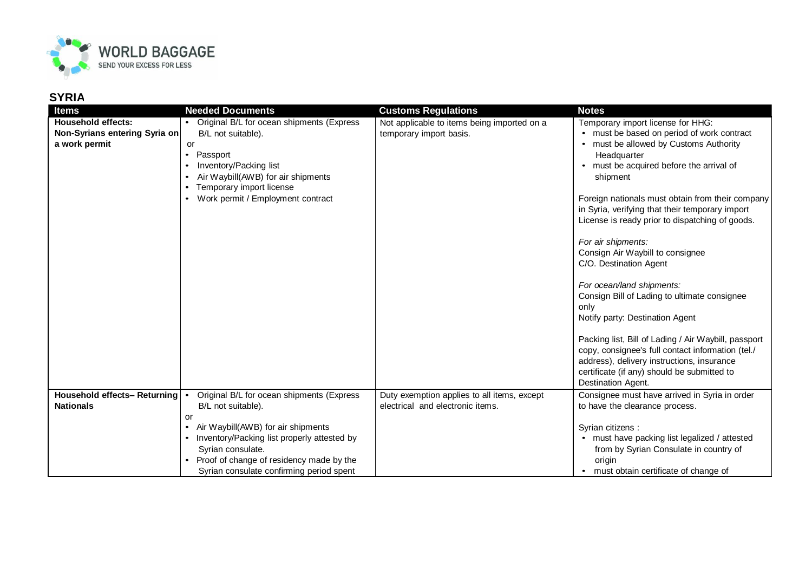

## **SYRIA**

| <b>Items</b>                                                                | <b>Needed Documents</b>                                                                                                                                                                                                                                   | <b>Customs Regulations</b>                                                      | <b>Notes</b>                                                                                                                                                                                                                                                                                                                                                                                                                                                                                                                                                                                                                                                                                                                      |
|-----------------------------------------------------------------------------|-----------------------------------------------------------------------------------------------------------------------------------------------------------------------------------------------------------------------------------------------------------|---------------------------------------------------------------------------------|-----------------------------------------------------------------------------------------------------------------------------------------------------------------------------------------------------------------------------------------------------------------------------------------------------------------------------------------------------------------------------------------------------------------------------------------------------------------------------------------------------------------------------------------------------------------------------------------------------------------------------------------------------------------------------------------------------------------------------------|
| <b>Household effects:</b><br>Non-Syrians entering Syria on<br>a work permit | Original B/L for ocean shipments (Express<br>B/L not suitable).<br>or<br>Passport<br>$\bullet$<br>Inventory/Packing list<br>Air Waybill(AWB) for air shipments<br>$\bullet$<br>Temporary import license<br>$\bullet$<br>Work permit / Employment contract | Not applicable to items being imported on a<br>temporary import basis.          | Temporary import license for HHG:<br>• must be based on period of work contract<br>• must be allowed by Customs Authority<br>Headquarter<br>• must be acquired before the arrival of<br>shipment<br>Foreign nationals must obtain from their company<br>in Syria, verifying that their temporary import<br>License is ready prior to dispatching of goods.<br>For air shipments:<br>Consign Air Waybill to consignee<br>C/O. Destination Agent<br>For ocean/land shipments:<br>Consign Bill of Lading to ultimate consignee<br>only<br>Notify party: Destination Agent<br>Packing list, Bill of Lading / Air Waybill, passport<br>copy, consignee's full contact information (tel./<br>address), delivery instructions, insurance |
|                                                                             |                                                                                                                                                                                                                                                           |                                                                                 | certificate (if any) should be submitted to<br>Destination Agent.                                                                                                                                                                                                                                                                                                                                                                                                                                                                                                                                                                                                                                                                 |
| Household effects- Returning<br><b>Nationals</b>                            | Original B/L for ocean shipments (Express<br>B/L not suitable).<br>or                                                                                                                                                                                     | Duty exemption applies to all items, except<br>electrical and electronic items. | Consignee must have arrived in Syria in order<br>to have the clearance process.                                                                                                                                                                                                                                                                                                                                                                                                                                                                                                                                                                                                                                                   |
|                                                                             | Air Waybill(AWB) for air shipments<br>$\bullet$<br>Inventory/Packing list properly attested by<br>Syrian consulate.<br>Proof of change of residency made by the<br>Syrian consulate confirming period spent                                               |                                                                                 | Syrian citizens :<br>• must have packing list legalized / attested<br>from by Syrian Consulate in country of<br>origin<br>• must obtain certificate of change of                                                                                                                                                                                                                                                                                                                                                                                                                                                                                                                                                                  |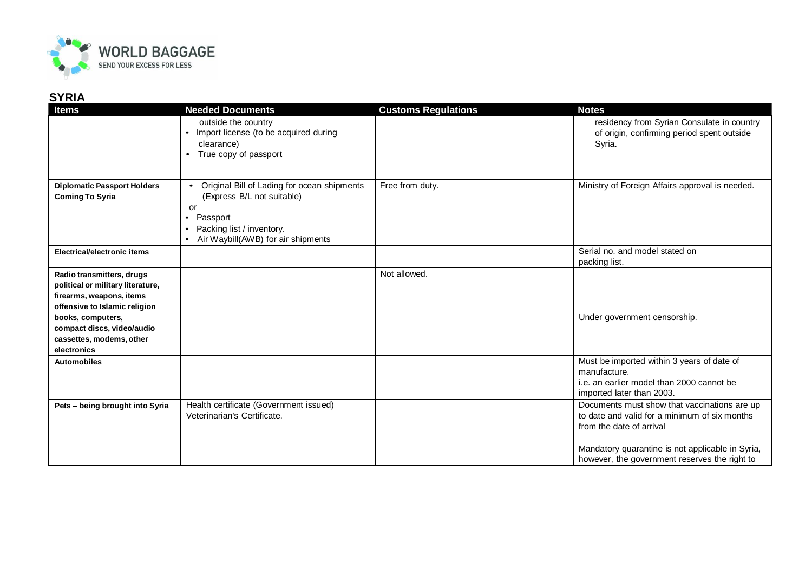

## **SYRIA**

| <b>Items</b>                                                                                                                                                                                                              | <b>Needed Documents</b>                                                                                                                                                     | <b>Customs Regulations</b> | <b>Notes</b>                                                                                                                                                                                                                   |
|---------------------------------------------------------------------------------------------------------------------------------------------------------------------------------------------------------------------------|-----------------------------------------------------------------------------------------------------------------------------------------------------------------------------|----------------------------|--------------------------------------------------------------------------------------------------------------------------------------------------------------------------------------------------------------------------------|
|                                                                                                                                                                                                                           | outside the country<br>Import license (to be acquired during<br>$\bullet$<br>clearance)<br>True copy of passport                                                            |                            | residency from Syrian Consulate in country<br>of origin, confirming period spent outside<br>Syria.                                                                                                                             |
| <b>Diplomatic Passport Holders</b><br><b>Coming To Syria</b>                                                                                                                                                              | Original Bill of Lading for ocean shipments<br>(Express B/L not suitable)<br>or<br>Passport<br>$\bullet$<br>Packing list / inventory.<br>Air Waybill(AWB) for air shipments | Free from duty.            | Ministry of Foreign Affairs approval is needed.                                                                                                                                                                                |
| Electrical/electronic items                                                                                                                                                                                               |                                                                                                                                                                             |                            | Serial no. and model stated on<br>packing list.                                                                                                                                                                                |
| Radio transmitters, drugs<br>political or military literature,<br>firearms, weapons, items<br>offensive to Islamic religion<br>books, computers,<br>compact discs, video/audio<br>cassettes, modems, other<br>electronics |                                                                                                                                                                             | Not allowed.               | Under government censorship.                                                                                                                                                                                                   |
| <b>Automobiles</b>                                                                                                                                                                                                        |                                                                                                                                                                             |                            | Must be imported within 3 years of date of<br>manufacture.<br>i.e. an earlier model than 2000 cannot be<br>imported later than 2003.                                                                                           |
| Pets - being brought into Syria                                                                                                                                                                                           | Health certificate (Government issued)<br>Veterinarian's Certificate.                                                                                                       |                            | Documents must show that vaccinations are up<br>to date and valid for a minimum of six months<br>from the date of arrival<br>Mandatory quarantine is not applicable in Syria,<br>however, the government reserves the right to |